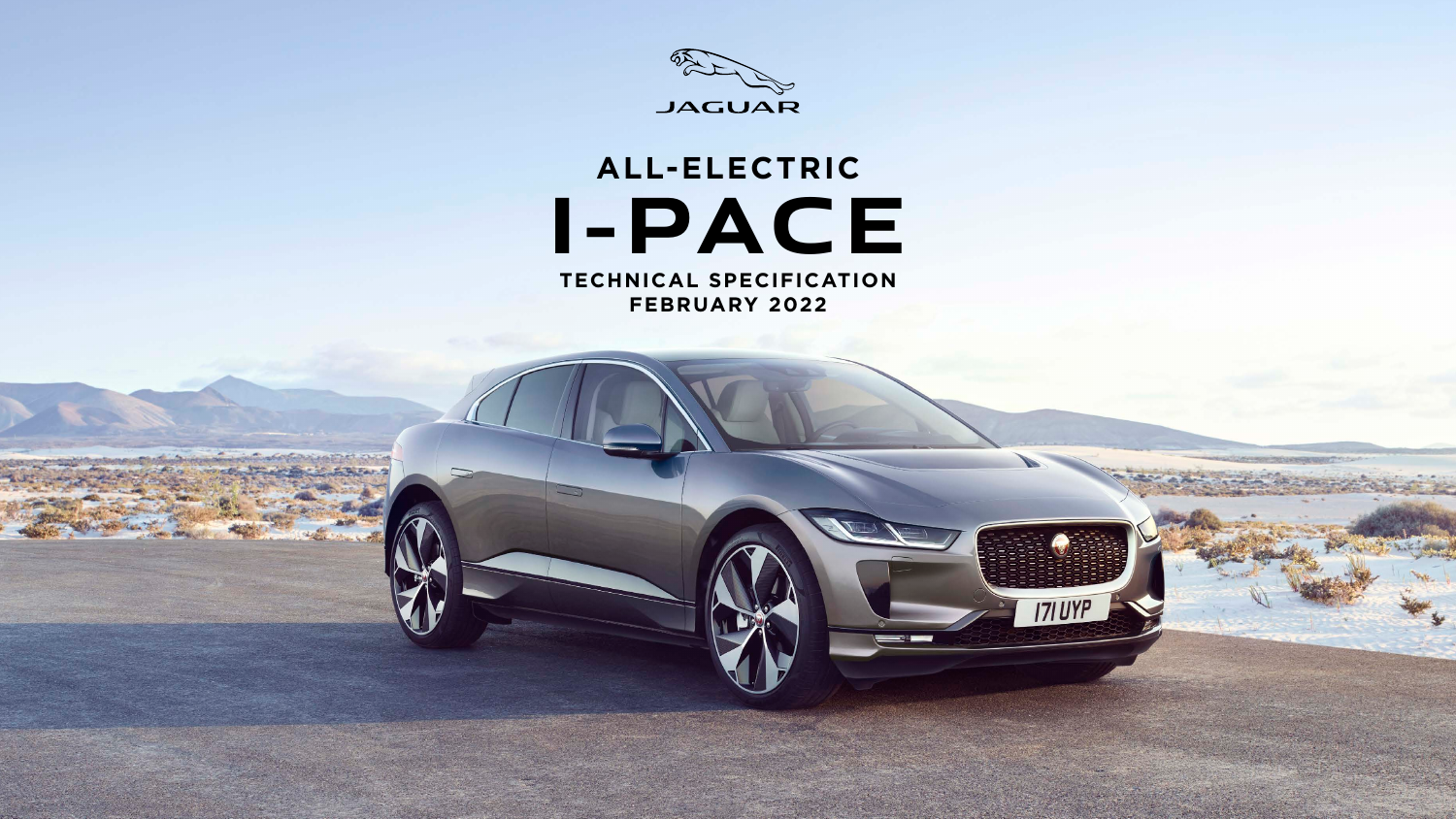

# ALL-ELECTRIC I-PACE

TECHNICAL SPECIFICATION **FEBRUARY 2022** 

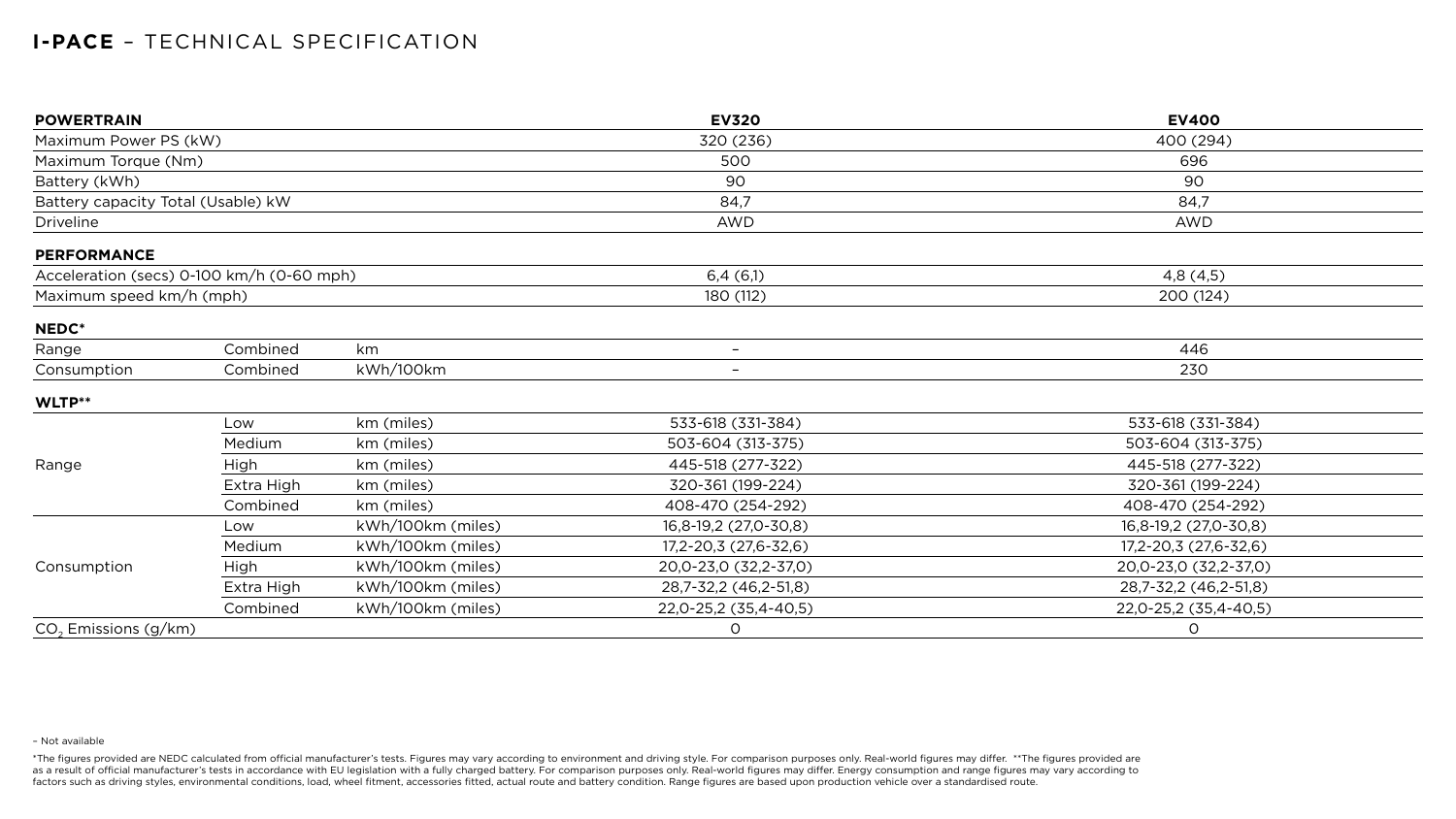## **I-PACE** – TECHNICAL SPECIFICATION

| <b>POWERTRAIN</b>                         |            |                   | <b>EV320</b>             | <b>EV400</b>          |
|-------------------------------------------|------------|-------------------|--------------------------|-----------------------|
| Maximum Power PS (kW)                     |            |                   | 320 (236)                | 400 (294)             |
| Maximum Torque (Nm)                       |            |                   | 500                      | 696                   |
| Battery (kWh)                             |            |                   | 90                       | 90                    |
| Battery capacity Total (Usable) kW        |            |                   | 84,7                     | 84,7                  |
| <b>Driveline</b>                          |            |                   | <b>AWD</b>               | <b>AWD</b>            |
| <b>PERFORMANCE</b>                        |            |                   |                          |                       |
| Acceleration (secs) 0-100 km/h (0-60 mph) |            |                   | 6,4(6,1)                 | 4,8(4,5)              |
| Maximum speed km/h (mph)                  |            |                   | 180 (112)                | 200 (124)             |
| NEDC*                                     |            |                   |                          |                       |
| Range                                     | Combined   | km                | $-$                      | 446                   |
| Consumption                               | Combined   | kWh/100km         | $\overline{\phantom{0}}$ | 230                   |
| WLTP**                                    |            |                   |                          |                       |
|                                           | Low        | km (miles)        | 533-618 (331-384)        | 533-618 (331-384)     |
|                                           | Medium     | km (miles)        | 503-604 (313-375)        | 503-604 (313-375)     |
| Range                                     | High       | km (miles)        | 445-518 (277-322)        | 445-518 (277-322)     |
|                                           | Extra High | km (miles)        | 320-361 (199-224)        | 320-361 (199-224)     |
|                                           | Combined   | km (miles)        | 408-470 (254-292)        | 408-470 (254-292)     |
| Consumption                               | Low        | kWh/100km (miles) | 16,8-19,2 (27,0-30,8)    | 16,8-19,2 (27,0-30,8) |
|                                           | Medium     | kWh/100km (miles) | 17,2-20,3 (27,6-32,6)    | 17,2-20,3 (27,6-32,6) |
|                                           | High       | kWh/100km (miles) | 20,0-23,0 (32,2-37,0)    | 20,0-23,0 (32,2-37,0) |
|                                           | Extra High | kWh/100km (miles) | 28,7-32,2 (46,2-51,8)    | 28,7-32,2 (46,2-51,8) |
|                                           | Combined   | kWh/100km (miles) | 22,0-25,2 (35,4-40,5)    | 22,0-25,2 (35,4-40,5) |
| $CO2$ Emissions (g/km)                    |            |                   | $\overline{O}$           | $\overline{O}$        |

#### – Not available

\*The figures provided are NEDC calculated from official manufacturer's tests. Figures may vary according to environment and driving style. For comparison purposes only. Real-world figures may differ. \*\*The figures provided as a result of official manufacturer's tests in accordance with EU legislation with a fully charged battery. For comparison purposes only. Real-world figures may differ. Energy consumption and range figures may vary accord factors such as driving styles, environmental conditions, load, wheel fitment, accessories fitted, actual route and battery condition. Range figures are based upon production vehicle over a standardised route.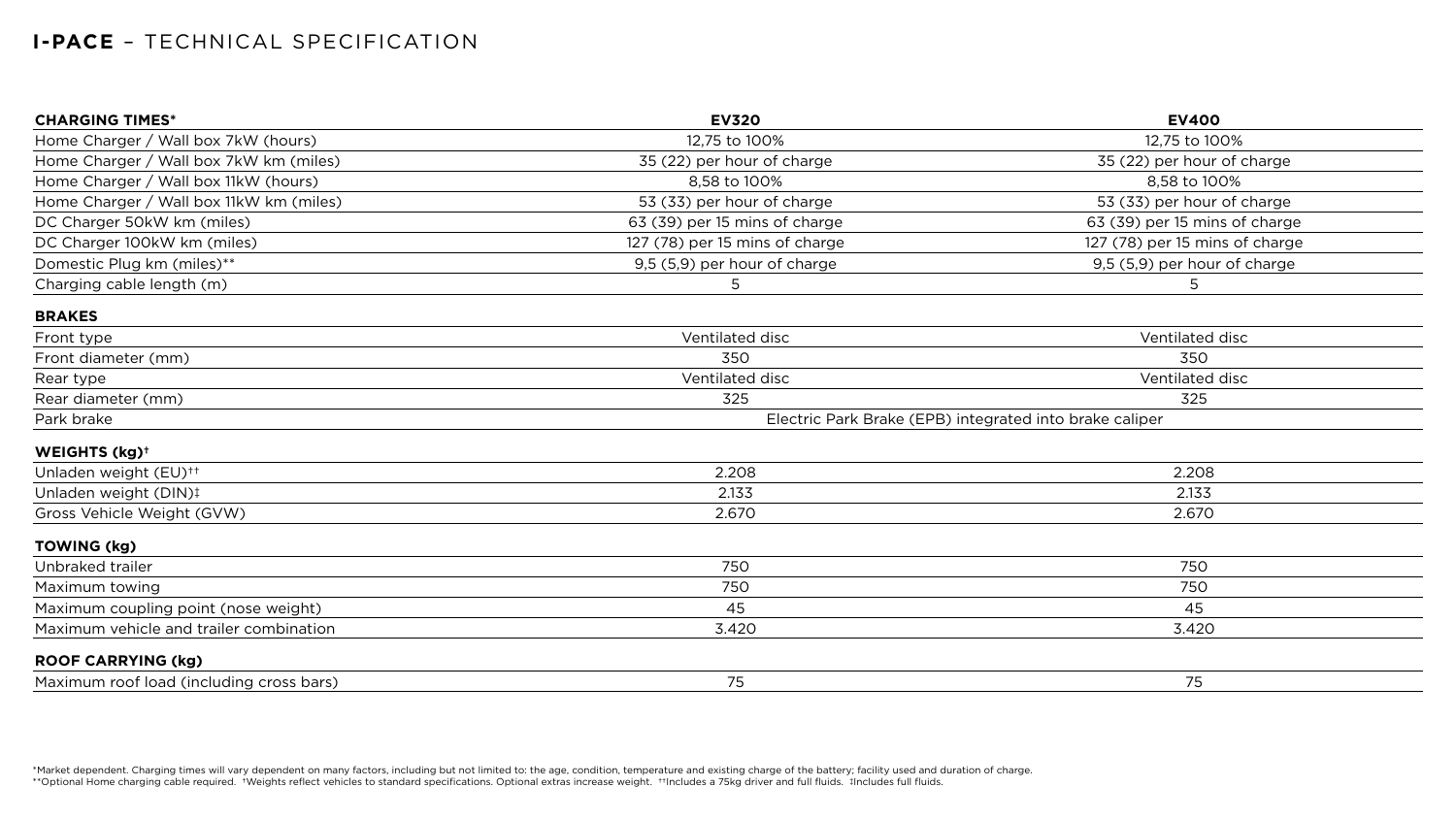\*Market dependent. Charging times will vary dependent on many factors, including but not limited to: the age, condition, temperature and existing charge of the battery; facility used and duration of charge. \*\*Optional Home charging cable required. †Weights reflect vehicles to standard specifications. Optional extras increase weight. ††Includes a 75kg driver and full fluids. ‡Includes full fluids.

## **I-PACE** – TECHNICAL SPECIFICATION

| <b>CHARGING TIMES*</b>                   | <b>EV320</b>                                            | <b>EV400</b>                   |
|------------------------------------------|---------------------------------------------------------|--------------------------------|
| Home Charger / Wall box 7kW (hours)      | 12,75 to 100%                                           | 12,75 to 100%                  |
| Home Charger / Wall box 7kW km (miles)   | 35 (22) per hour of charge                              | 35 (22) per hour of charge     |
| Home Charger / Wall box 11kW (hours)     | 8,58 to 100%                                            | 8,58 to 100%                   |
| Home Charger / Wall box 11kW km (miles)  | 53 (33) per hour of charge                              | 53 (33) per hour of charge     |
| DC Charger 50kW km (miles)               | 63 (39) per 15 mins of charge                           | 63 (39) per 15 mins of charge  |
| DC Charger 100kW km (miles)              | 127 (78) per 15 mins of charge                          | 127 (78) per 15 mins of charge |
| Domestic Plug km (miles)**               | 9,5 (5,9) per hour of charge                            | 9,5 (5,9) per hour of charge   |
| Charging cable length (m)                | 5                                                       | 5                              |
| <b>BRAKES</b>                            |                                                         |                                |
| Front type                               | Ventilated disc                                         | Ventilated disc                |
| Front diameter (mm)                      | 350                                                     | 350                            |
| Rear type                                | Ventilated disc                                         | Ventilated disc                |
| Rear diameter (mm)                       | 325                                                     | 325                            |
| Park brake                               | Electric Park Brake (EPB) integrated into brake caliper |                                |
| WEIGHTS (kg) <sup>+</sup>                |                                                         |                                |
| Unladen weight (EU) <sup>++</sup>        | 2.208                                                   | 2.208                          |
| Unladen weight (DIN)!                    | 2.133                                                   | 2.133                          |
| Gross Vehicle Weight (GVW)               | 2.670                                                   | 2.670                          |
| <b>TOWING (kg)</b>                       |                                                         |                                |
| Unbraked trailer                         | 750                                                     | 750                            |
| Maximum towing                           | 750                                                     | 750                            |
| Maximum coupling point (nose weight)     | 45                                                      | 45                             |
| Maximum vehicle and trailer combination  | 3.420                                                   | 3.420                          |
| <b>ROOF CARRYING (kg)</b>                |                                                         |                                |
| Maximum roof load (including cross bars) | 75                                                      | 75                             |